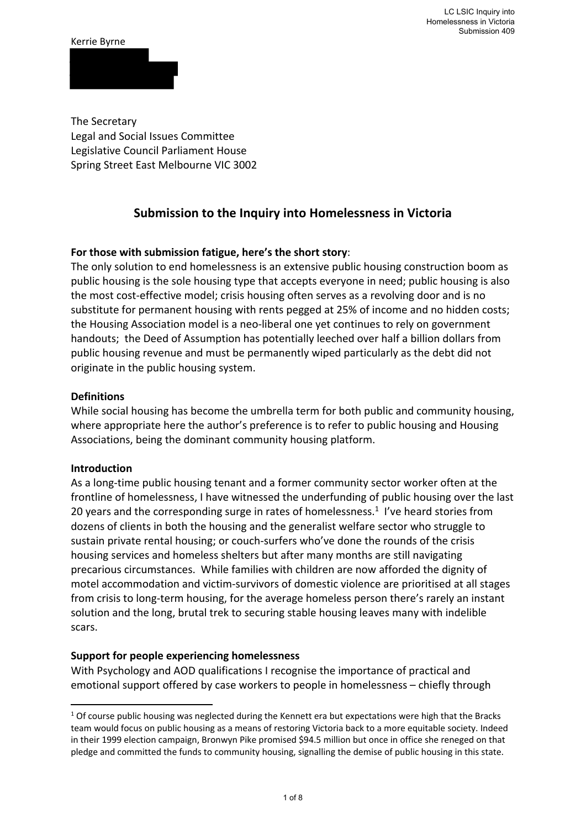#### Kerrie Byrne

The Secretary Legal and Social Issues Committee Legislative Council Parliament House Spring Street East Melbourne VIC 3002

# **Submission to the Inquiry into Homelessness in Victoria**

# **For those with submission fatigue, here's the short story**:

The only solution to end homelessness is an extensive public housing construction boom as public housing is the sole housing type that accepts everyone in need; public housing is also the most cost-effective model; crisis housing often serves as a revolving door and is no substitute for permanent housing with rents pegged at 25% of income and no hidden costs; the Housing Association model is a neo‐liberal one yet continues to rely on government handouts; the Deed of Assumption has potentially leeched over half a billion dollars from public housing revenue and must be permanently wiped particularly as the debt did not originate in the public housing system.

### **Definitions**

While social housing has become the umbrella term for both public and community housing, where appropriate here the author's preference is to refer to public housing and Housing Associations, being the dominant community housing platform.

### **Introduction**

As a long‐time public housing tenant and a former community sector worker often at the frontline of homelessness, I have witnessed the underfunding of public housing over the last 20 years and the corresponding surge in rates of homelessness. $1$  I've heard stories from dozens of clients in both the housing and the generalist welfare sector who struggle to sustain private rental housing; or couch‐surfers who've done the rounds of the crisis housing services and homeless shelters but after many months are still navigating precarious circumstances. While families with children are now afforded the dignity of motel accommodation and victim‐survivors of domestic violence are prioritised at all stages from crisis to long‐term housing, for the average homeless person there's rarely an instant solution and the long, brutal trek to securing stable housing leaves many with indelible scars.

### **Support for people experiencing homelessness**

With Psychology and AOD qualifications I recognise the importance of practical and emotional support offered by case workers to people in homelessness – chiefly through

 $1$  Of course public housing was neglected during the Kennett era but expectations were high that the Bracks team would focus on public housing as a means of restoring Victoria back to a more equitable society. Indeed in their 1999 election campaign, Bronwyn Pike promised \$94.5 million but once in office she reneged on that pledge and committed the funds to community housing, signalling the demise of public housing in this state.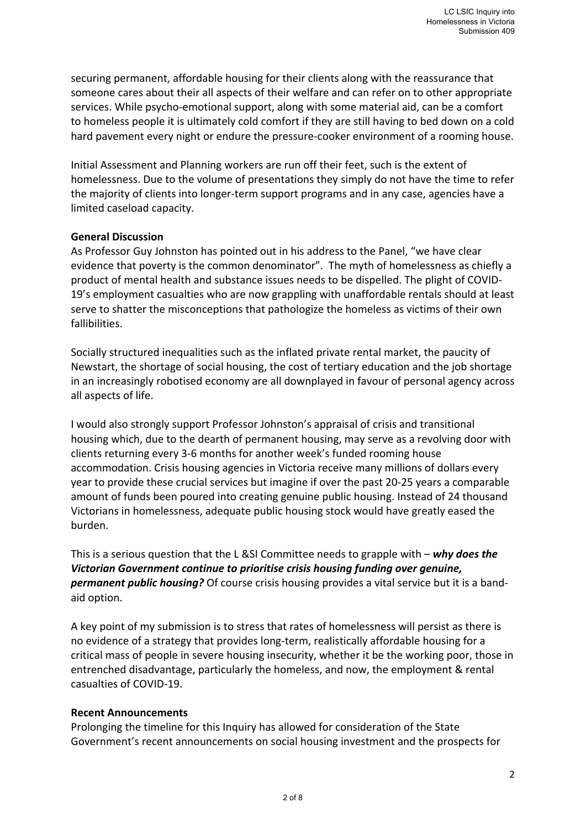securing permanent, affordable housing for their clients along with the reassurance that someone cares about their all aspects of their welfare and can refer on to other appropriate services. While psycho‐emotional support, along with some material aid, can be a comfort to homeless people it is ultimately cold comfort if they are still having to bed down on a cold hard pavement every night or endure the pressure-cooker environment of a rooming house.

Initial Assessment and Planning workers are run off their feet, such is the extent of homelessness. Due to the volume of presentations they simply do not have the time to refer the majority of clients into longer‐term support programs and in any case, agencies have a limited caseload capacity.

### **General Discussion**

As Professor Guy Johnston has pointed out in his address to the Panel, "we have clear evidence that poverty is the common denominator". The myth of homelessness as chiefly a product of mental health and substance issues needs to be dispelled. The plight of COVID‐ 19's employment casualties who are now grappling with unaffordable rentals should at least serve to shatter the misconceptions that pathologize the homeless as victims of their own fallibilities.

Socially structured inequalities such as the inflated private rental market, the paucity of Newstart, the shortage of social housing, the cost of tertiary education and the job shortage in an increasingly robotised economy are all downplayed in favour of personal agency across all aspects of life.

I would also strongly support Professor Johnston's appraisal of crisis and transitional housing which, due to the dearth of permanent housing, may serve as a revolving door with clients returning every 3‐6 months for another week's funded rooming house accommodation. Crisis housing agencies in Victoria receive many millions of dollars every year to provide these crucial services but imagine if over the past 20‐25 years a comparable amount of funds been poured into creating genuine public housing. Instead of 24 thousand Victorians in homelessness, adequate public housing stock would have greatly eased the burden.

This is a serious question that the L &SI Committee needs to grapple with – *why does the Victorian Government continue to prioritise crisis housing funding over genuine, permanent public housing?* Of course crisis housing provides a vital service but it is a band‐ aid option.

A key point of my submission is to stress that rates of homelessness will persist as there is no evidence of a strategy that provides long‐term, realistically affordable housing for a critical mass of people in severe housing insecurity, whether it be the working poor, those in entrenched disadvantage, particularly the homeless, and now, the employment & rental casualties of COVID‐19.

### **Recent Announcements**

Prolonging the timeline for this Inquiry has allowed for consideration of the State Government's recent announcements on social housing investment and the prospects for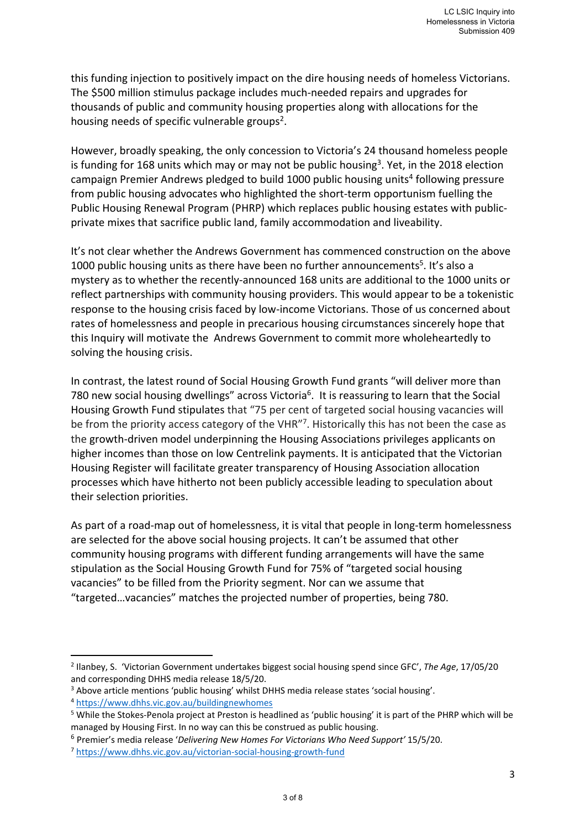this funding injection to positively impact on the dire housing needs of homeless Victorians. The \$500 million stimulus package includes much-needed repairs and upgrades for thousands of public and community housing properties along with allocations for the housing needs of specific vulnerable groups<sup>2</sup>.

However, broadly speaking, the only concession to Victoria's 24 thousand homeless people is funding for 168 units which may or may not be public housing<sup>3</sup>. Yet, in the 2018 election campaign Premier Andrews pledged to build 1000 public housing units<sup>4</sup> following pressure from public housing advocates who highlighted the short-term opportunism fuelling the Public Housing Renewal Program (PHRP) which replaces public housing estates with public‐ private mixes that sacrifice public land, family accommodation and liveability.

It's not clear whether the Andrews Government has commenced construction on the above 1000 public housing units as there have been no further announcements<sup>5</sup>. It's also a mystery as to whether the recently‐announced 168 units are additional to the 1000 units or reflect partnerships with community housing providers. This would appear to be a tokenistic response to the housing crisis faced by low‐income Victorians. Those of us concerned about rates of homelessness and people in precarious housing circumstances sincerely hope that this Inquiry will motivate the Andrews Government to commit more wholeheartedly to solving the housing crisis.

In contrast, the latest round of Social Housing Growth Fund grants "will deliver more than 780 new social housing dwellings" across Victoria<sup>6</sup>. It is reassuring to learn that the Social Housing Growth Fund stipulates that "75 per cent of targeted social housing vacancies will be from the priority access category of the VHR"<sup>7</sup>. Historically this has not been the case as the growth‐driven model underpinning the Housing Associations privileges applicants on higher incomes than those on low Centrelink payments. It is anticipated that the Victorian Housing Register will facilitate greater transparency of Housing Association allocation processes which have hitherto not been publicly accessible leading to speculation about their selection priorities.

As part of a road-map out of homelessness, it is vital that people in long-term homelessness are selected for the above social housing projects. It can't be assumed that other community housing programs with different funding arrangements will have the same stipulation as the Social Housing Growth Fund for 75% of "targeted social housing vacancies" to be filled from the Priority segment. Nor can we assume that "targeted…vacancies" matches the projected number of properties, being 780.

<sup>2</sup> Ilanbey, S. 'Victorian Government undertakes biggest social housing spend since GFC', *The Age*, 17/05/20 and corresponding DHHS media release 18/5/20.

<sup>&</sup>lt;sup>3</sup> Above article mentions 'public housing' whilst DHHS media release states 'social housing'.

<sup>4</sup> https://www.dhhs.vic.gov.au/buildingnewhomes

<sup>&</sup>lt;sup>5</sup> While the Stokes-Penola project at Preston is headlined as 'public housing' it is part of the PHRP which will be managed by Housing First. In no way can this be construed as public housing.

<sup>6</sup> Premier's media release '*Delivering New Homes For Victorians Who Need Support'* 15/5/20.

<sup>7</sup> https://www.dhhs.vic.gov.au/victorian‐social‐housing‐growth‐fund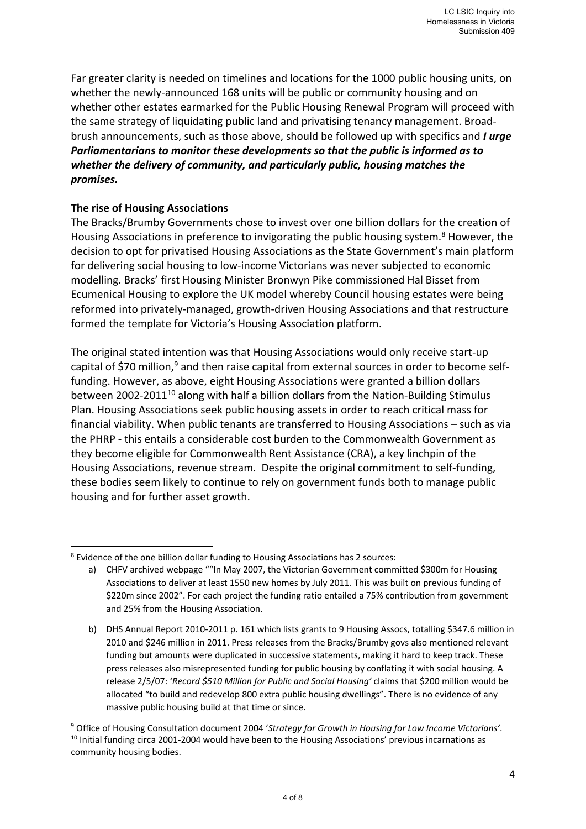Far greater clarity is needed on timelines and locations for the 1000 public housing units, on whether the newly-announced 168 units will be public or community housing and on whether other estates earmarked for the Public Housing Renewal Program will proceed with the same strategy of liquidating public land and privatising tenancy management. Broad‐ brush announcements, such as those above, should be followed up with specifics and *I urge Parliamentarians to monitor these developments so that the public is informed as to whether the delivery of community, and particularly public, housing matches the promises.* 

### **The rise of Housing Associations**

The Bracks/Brumby Governments chose to invest over one billion dollars for the creation of Housing Associations in preference to invigorating the public housing system.<sup>8</sup> However, the decision to opt for privatised Housing Associations as the State Government's main platform for delivering social housing to low‐income Victorians was never subjected to economic modelling. Bracks' first Housing Minister Bronwyn Pike commissioned Hal Bisset from Ecumenical Housing to explore the UK model whereby Council housing estates were being reformed into privately‐managed, growth‐driven Housing Associations and that restructure formed the template for Victoria's Housing Association platform.

The original stated intention was that Housing Associations would only receive start‐up capital of \$70 million,<sup>9</sup> and then raise capital from external sources in order to become selffunding. However, as above, eight Housing Associations were granted a billion dollars between 2002-2011<sup>10</sup> along with half a billion dollars from the Nation-Building Stimulus Plan. Housing Associations seek public housing assets in order to reach critical mass for financial viability. When public tenants are transferred to Housing Associations – such as via the PHRP ‐ this entails a considerable cost burden to the Commonwealth Government as they become eligible for Commonwealth Rent Assistance (CRA), a key linchpin of the Housing Associations, revenue stream. Despite the original commitment to self-funding, these bodies seem likely to continue to rely on government funds both to manage public housing and for further asset growth.

<sup>&</sup>lt;sup>8</sup> Evidence of the one billion dollar funding to Housing Associations has 2 sources:

a) CHFV archived webpage ""In May 2007, the Victorian Government committed \$300m for Housing Associations to deliver at least 1550 new homes by July 2011. This was built on previous funding of \$220m since 2002". For each project the funding ratio entailed a 75% contribution from government and 25% from the Housing Association.

b) DHS Annual Report 2010-2011 p. 161 which lists grants to 9 Housing Assocs, totalling \$347.6 million in 2010 and \$246 million in 2011. Press releases from the Bracks/Brumby govs also mentioned relevant funding but amounts were duplicated in successive statements, making it hard to keep track. These press releases also misrepresented funding for public housing by conflating it with social housing. A release 2/5/07: '*Record \$510 Million for Public and Social Housing'* claims that \$200 million would be allocated "to build and redevelop 800 extra public housing dwellings". There is no evidence of any massive public housing build at that time or since.

<sup>9</sup> Office of Housing Consultation document 2004 '*Strategy for Growth in Housing for Low Income Victorians'*. 10 Initial funding circa 2001‐2004 would have been to the Housing Associations' previous incarnations as community housing bodies.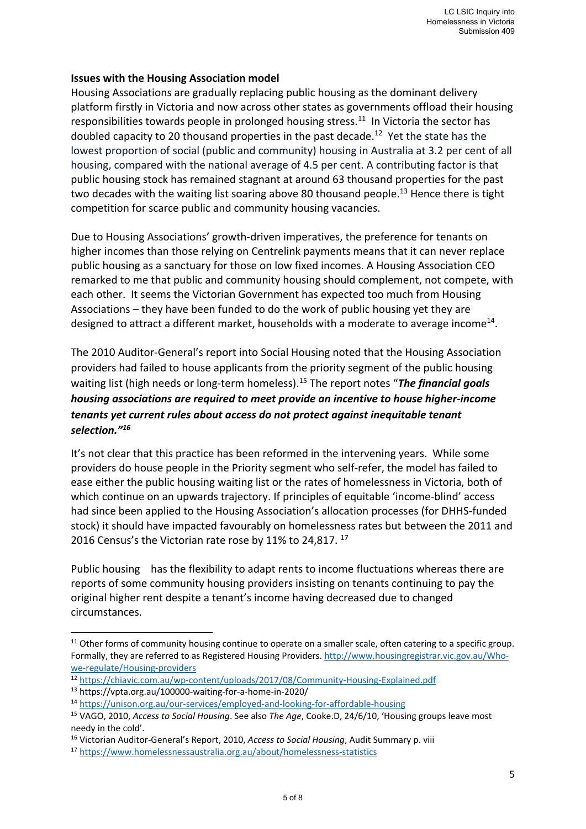# **Issues with the Housing Association model**

Housing Associations are gradually replacing public housing as the dominant delivery platform firstly in Victoria and now across other states as governments offload their housing responsibilities towards people in prolonged housing stress.<sup>11</sup> In Victoria the sector has doubled capacity to 20 thousand properties in the past decade.<sup>12</sup> Yet the state has the lowest proportion of social (public and community) housing in Australia at 3.2 per cent of all housing, compared with the national average of 4.5 per cent. A contributing factor is that public housing stock has remained stagnant at around 63 thousand properties for the past two decades with the waiting list soaring above 80 thousand people.<sup>13</sup> Hence there is tight competition for scarce public and community housing vacancies.

Due to Housing Associations' growth‐driven imperatives, the preference for tenants on higher incomes than those relying on Centrelink payments means that it can never replace public housing as a sanctuary for those on low fixed incomes. A Housing Association CEO remarked to me that public and community housing should complement, not compete, with each other. It seems the Victorian Government has expected too much from Housing Associations – they have been funded to do the work of public housing yet they are designed to attract a different market, households with a moderate to average income<sup>14</sup>.

The 2010 Auditor‐General's report into Social Housing noted that the Housing Association providers had failed to house applicants from the priority segment of the public housing waiting list (high needs or long‐term homeless).15 The report notes "*The financial goals housing associations are required to meet provide an incentive to house higher‐income tenants yet current rules about access do not protect against inequitable tenant selection."16*

It's not clear that this practice has been reformed in the intervening years. While some providers do house people in the Priority segment who self‐refer, the model has failed to ease either the public housing waiting list or the rates of homelessness in Victoria, both of which continue on an upwards trajectory. If principles of equitable 'income-blind' access had since been applied to the Housing Association's allocation processes (for DHHS‐funded stock) it should have impacted favourably on homelessness rates but between the 2011 and 2016 Census's the Victorian rate rose by 11% to 24,817.<sup>17</sup>

Public housing has the flexibility to adapt rents to income fluctuations whereas there are reports of some community housing providers insisting on tenants continuing to pay the original higher rent despite a tenant's income having decreased due to changed circumstances.

<sup>&</sup>lt;sup>11</sup> Other forms of community housing continue to operate on a smaller scale, often catering to a specific group. Formally, they are referred to as Registered Housing Providers. http://www.housingregistrar.vic.gov.au/Who‐ we-regulate/Housing-providers

<sup>12</sup> https://chiavic.com.au/wp‐content/uploads/2017/08/Community‐Housing‐Explained.pdf

<sup>13</sup> https://vpta.org.au/100000‐waiting‐for‐a‐home‐in‐2020/

<sup>14</sup> https://unison.org.au/our‐services/employed‐and‐looking‐for‐affordable‐housing

<sup>15</sup> VAGO, 2010, *Access to Social Housing*. See also *The Age*, Cooke.D, 24/6/10, 'Housing groups leave most needy in the cold'.

<sup>16</sup> Victorian Auditor‐General's Report, 2010, *Access to Social Housing*, Audit Summary p. viii

<sup>17</sup> https://www.homelessnessaustralia.org.au/about/homelessness-statistics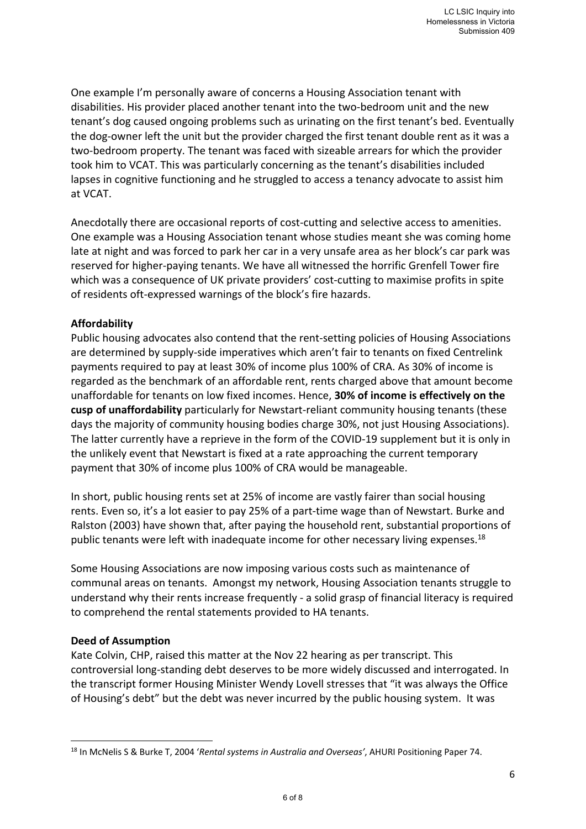One example I'm personally aware of concerns a Housing Association tenant with disabilities. His provider placed another tenant into the two‐bedroom unit and the new tenant's dog caused ongoing problems such as urinating on the first tenant's bed. Eventually the dog‐owner left the unit but the provider charged the first tenant double rent as it was a two-bedroom property. The tenant was faced with sizeable arrears for which the provider took him to VCAT. This was particularly concerning as the tenant's disabilities included lapses in cognitive functioning and he struggled to access a tenancy advocate to assist him at VCAT.

Anecdotally there are occasional reports of cost-cutting and selective access to amenities. One example was a Housing Association tenant whose studies meant she was coming home late at night and was forced to park her car in a very unsafe area as her block's car park was reserved for higher‐paying tenants. We have all witnessed the horrific Grenfell Tower fire which was a consequence of UK private providers' cost-cutting to maximise profits in spite of residents oft‐expressed warnings of the block's fire hazards.

# **Affordability**

Public housing advocates also contend that the rent‐setting policies of Housing Associations are determined by supply‐side imperatives which aren't fair to tenants on fixed Centrelink payments required to pay at least 30% of income plus 100% of CRA. As 30% of income is regarded as the benchmark of an affordable rent, rents charged above that amount become unaffordable for tenants on low fixed incomes. Hence, **30% of income is effectively on the cusp of unaffordability** particularly for Newstart‐reliant community housing tenants (these days the majority of community housing bodies charge 30%, not just Housing Associations). The latter currently have a reprieve in the form of the COVID‐19 supplement but it is only in the unlikely event that Newstart is fixed at a rate approaching the current temporary payment that 30% of income plus 100% of CRA would be manageable.

In short, public housing rents set at 25% of income are vastly fairer than social housing rents. Even so, it's a lot easier to pay 25% of a part‐time wage than of Newstart. Burke and Ralston (2003) have shown that, after paying the household rent, substantial proportions of public tenants were left with inadequate income for other necessary living expenses.<sup>18</sup>

Some Housing Associations are now imposing various costs such as maintenance of communal areas on tenants. Amongst my network, Housing Association tenants struggle to understand why their rents increase frequently ‐ a solid grasp of financial literacy is required to comprehend the rental statements provided to HA tenants.

### **Deed of Assumption**

Kate Colvin, CHP, raised this matter at the Nov 22 hearing as per transcript. This controversial long‐standing debt deserves to be more widely discussed and interrogated. In the transcript former Housing Minister Wendy Lovell stresses that "it was always the Office of Housing's debt" but the debt was never incurred by the public housing system. It was

<sup>18</sup> In McNelis S & Burke T, 2004 '*Rental systems in Australia and Overseas'*, AHURI Positioning Paper 74.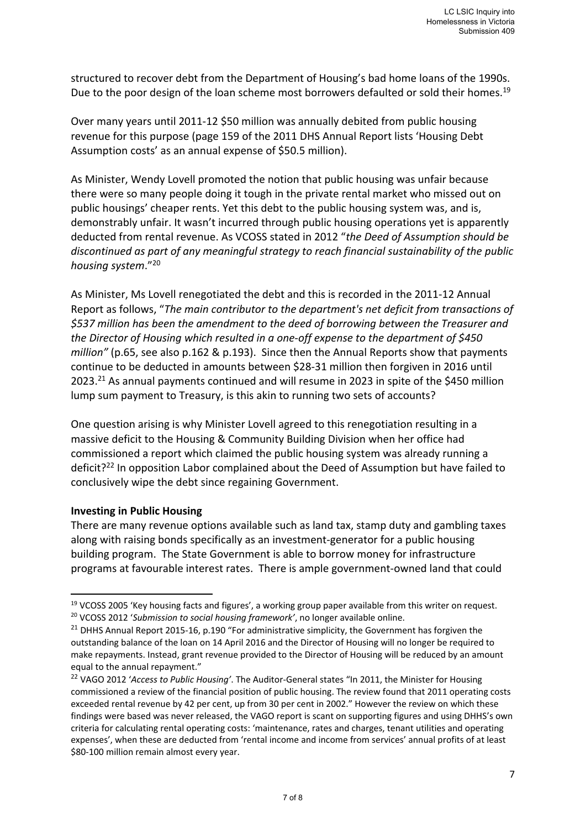structured to recover debt from the Department of Housing's bad home loans of the 1990s. Due to the poor design of the loan scheme most borrowers defaulted or sold their homes.<sup>19</sup>

Over many years until 2011‐12 \$50 million was annually debited from public housing revenue for this purpose (page 159 of the 2011 DHS Annual Report lists 'Housing Debt Assumption costs' as an annual expense of \$50.5 million).

As Minister, Wendy Lovell promoted the notion that public housing was unfair because there were so many people doing it tough in the private rental market who missed out on public housings' cheaper rents. Yet this debt to the public housing system was, and is, demonstrably unfair. It wasn't incurred through public housing operations yet is apparently deducted from rental revenue. As VCOSS stated in 2012 "*the Deed of Assumption should be discontinued as part of any meaningful strategy to reach financial sustainability of the public housing system*."20

As Minister, Ms Lovell renegotiated the debt and this is recorded in the 2011‐12 Annual Report as follows, "*The main contributor to the department's net deficit from transactions of \$537 million has been the amendment to the deed of borrowing between the Treasurer and the Director of Housing which resulted in a one‐off expense to the department of \$450 million"* (p.65, see also p.162 & p.193). Since then the Annual Reports show that payments continue to be deducted in amounts between \$28‐31 million then forgiven in 2016 until 2023.<sup>21</sup> As annual payments continued and will resume in 2023 in spite of the \$450 million lump sum payment to Treasury, is this akin to running two sets of accounts?

One question arising is why Minister Lovell agreed to this renegotiation resulting in a massive deficit to the Housing & Community Building Division when her office had commissioned a report which claimed the public housing system was already running a deficit?<sup>22</sup> In opposition Labor complained about the Deed of Assumption but have failed to conclusively wipe the debt since regaining Government.

### **Investing in Public Housing**

There are many revenue options available such as land tax, stamp duty and gambling taxes along with raising bonds specifically as an investment‐generator for a public housing building program. The State Government is able to borrow money for infrastructure programs at favourable interest rates. There is ample government‐owned land that could

<sup>&</sup>lt;sup>19</sup> VCOSS 2005 'Key housing facts and figures', a working group paper available from this writer on request. 20 VCOSS 2012 '*Submission to social housing framework'*, no longer available online.

<sup>&</sup>lt;sup>21</sup> DHHS Annual Report 2015-16, p.190 "For administrative simplicity, the Government has forgiven the outstanding balance of the loan on 14 April 2016 and the Director of Housing will no longer be required to make repayments. Instead, grant revenue provided to the Director of Housing will be reduced by an amount equal to the annual repayment."

<sup>22</sup> VAGO 2012 '*Access to Public Housing'*. The Auditor‐General states "In 2011, the Minister for Housing commissioned a review of the financial position of public housing. The review found that 2011 operating costs exceeded rental revenue by 42 per cent, up from 30 per cent in 2002." However the review on which these findings were based was never released, the VAGO report is scant on supporting figures and using DHHS's own criteria for calculating rental operating costs: 'maintenance, rates and charges, tenant utilities and operating expenses', when these are deducted from 'rental income and income from services' annual profits of at least \$80-100 million remain almost every year.